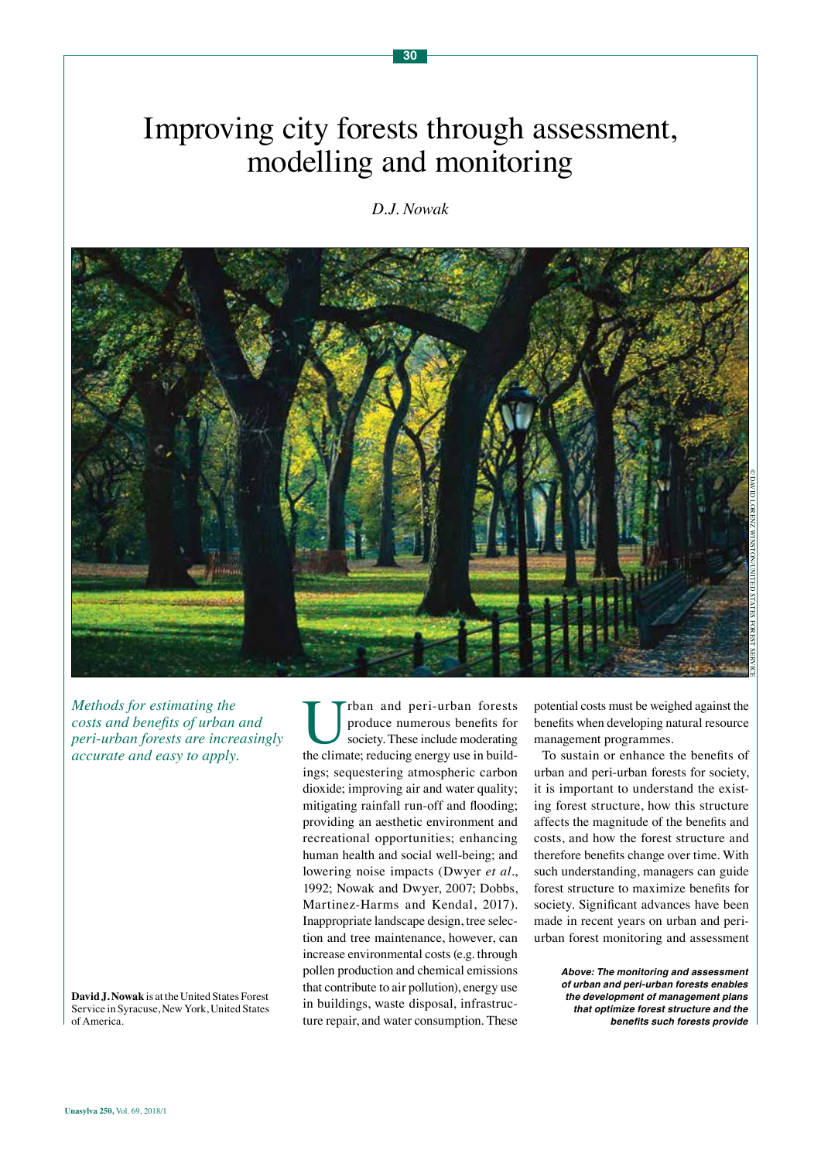# Improving city forests through assessment, modelling and monitoring

# *D.J. Nowak*



*Methods for estimating the costs and benefits of urban and peri-urban forests are increasingly accurate and easy to apply.*

**David J. Nowak** is at the United States Forest Service in Syracuse, New York, United States of America.

The commercies produce numerous benefits for society. These include moderating the climate; reducing energy use in buildproduce numerous benefits for society. These include moderating ings; sequestering atmospheric carbon dioxide; improving air and water quality; mitigating rainfall run-off and flooding; providing an aesthetic environment and recreational opportunities; enhancing human health and social well-being; and lowering noise impacts (Dwyer *et al*., 1992; Nowak and Dwyer, 2007; Dobbs, Martinez-Harms and Kendal, 2017). Inappropriate landscape design, tree selection and tree maintenance, however, can increase environmental costs (e.g. through pollen production and chemical emissions that contribute to air pollution), energy use in buildings, waste disposal, infrastructure repair, and water consumption. These

potential costs must be weighed against the benefits when developing natural resource management programmes.

To sustain or enhance the benefits of urban and peri-urban forests for society, it is important to understand the existing forest structure, how this structure affects the magnitude of the benefits and costs, and how the forest structure and therefore benefits change over time. With such understanding, managers can guide forest structure to maximize benefits for society. Significant advances have been made in recent years on urban and periurban forest monitoring and assessment

> *Above: The monitoring and assessment of urban and peri-urban forests enables the development of management plans that optimize forest structure and the*  **benefits such forests provide**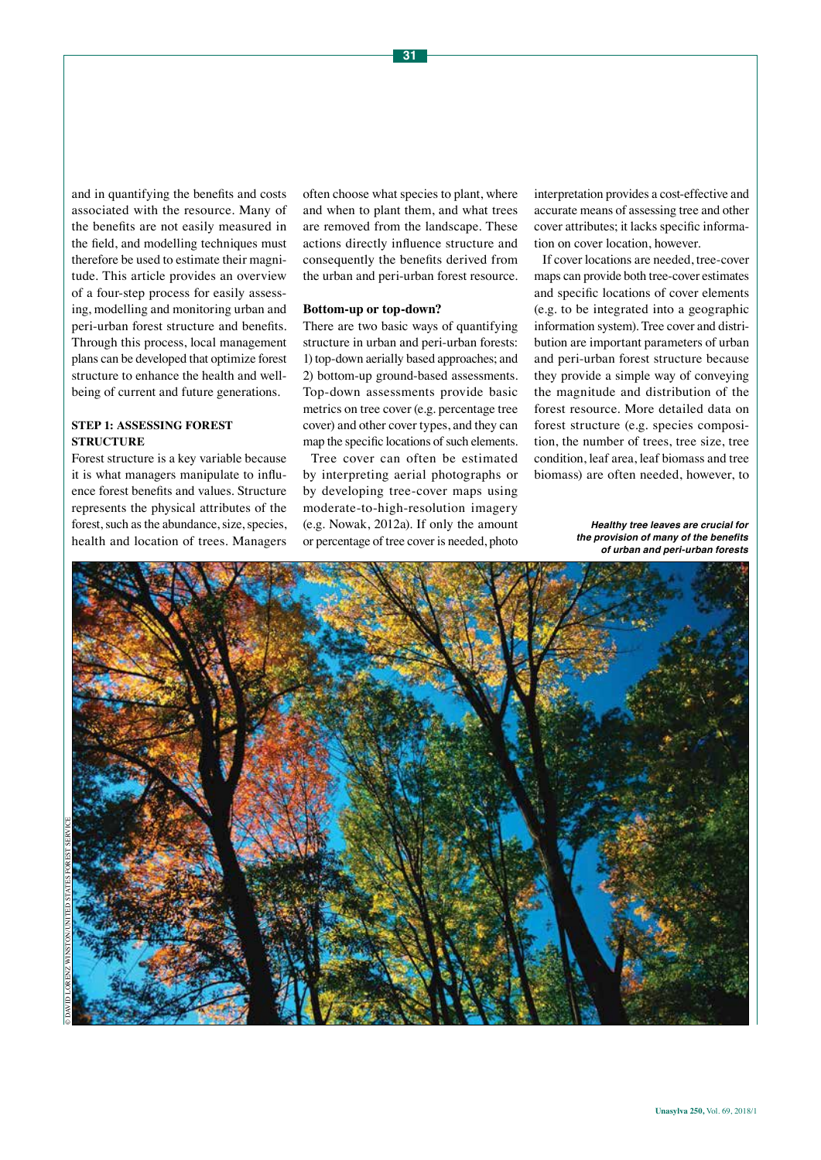and in quantifying the benefits and costs associated with the resource. Many of the benefits are not easily measured in the field, and modelling techniques must therefore be used to estimate their magnitude. This article provides an overview of a four-step process for easily assessing, modelling and monitoring urban and peri-urban forest structure and benefits. Through this process, local management plans can be developed that optimize forest structure to enhance the health and wellbeing of current and future generations.

# **STEP 1: ASSESSING FOREST STRUCTURE**

Forest structure is a key variable because it is what managers manipulate to influence forest benefits and values. Structure represents the physical attributes of the forest, such as the abundance, size, species, health and location of trees. Managers

often choose what species to plant, where and when to plant them, and what trees are removed from the landscape. These actions directly influence structure and consequently the benefits derived from the urban and peri-urban forest resource.

#### **Bottom-up or top-down?**

There are two basic ways of quantifying structure in urban and peri-urban forests: 1) top-down aerially based approaches; and 2) bottom-up ground-based assessments. Top-down assessments provide basic metrics on tree cover (e.g. percentage tree cover) and other cover types, and they can map the specific locations of such elements.

Tree cover can often be estimated by interpreting aerial photographs or by developing tree-cover maps using moderate-to-high-resolution imagery (e.g. Nowak, 2012a). If only the amount or percentage of tree cover is needed, photo

interpretation provides a cost-effective and accurate means of assessing tree and other cover attributes; it lacks specific information on cover location, however.

If cover locations are needed, tree-cover maps can provide both tree-cover estimates and specific locations of cover elements (e.g. to be integrated into a geographic information system). Tree cover and distribution are important parameters of urban and peri-urban forest structure because they provide a simple way of conveying the magnitude and distribution of the forest resource. More detailed data on forest structure (e.g. species composition, the number of trees, tree size, tree condition, leaf area, leaf biomass and tree biomass) are often needed, however, to

> *Healthy tree leaves are crucial for*  **the provision of many of the benefits**  *of urban and peri-urban forests*

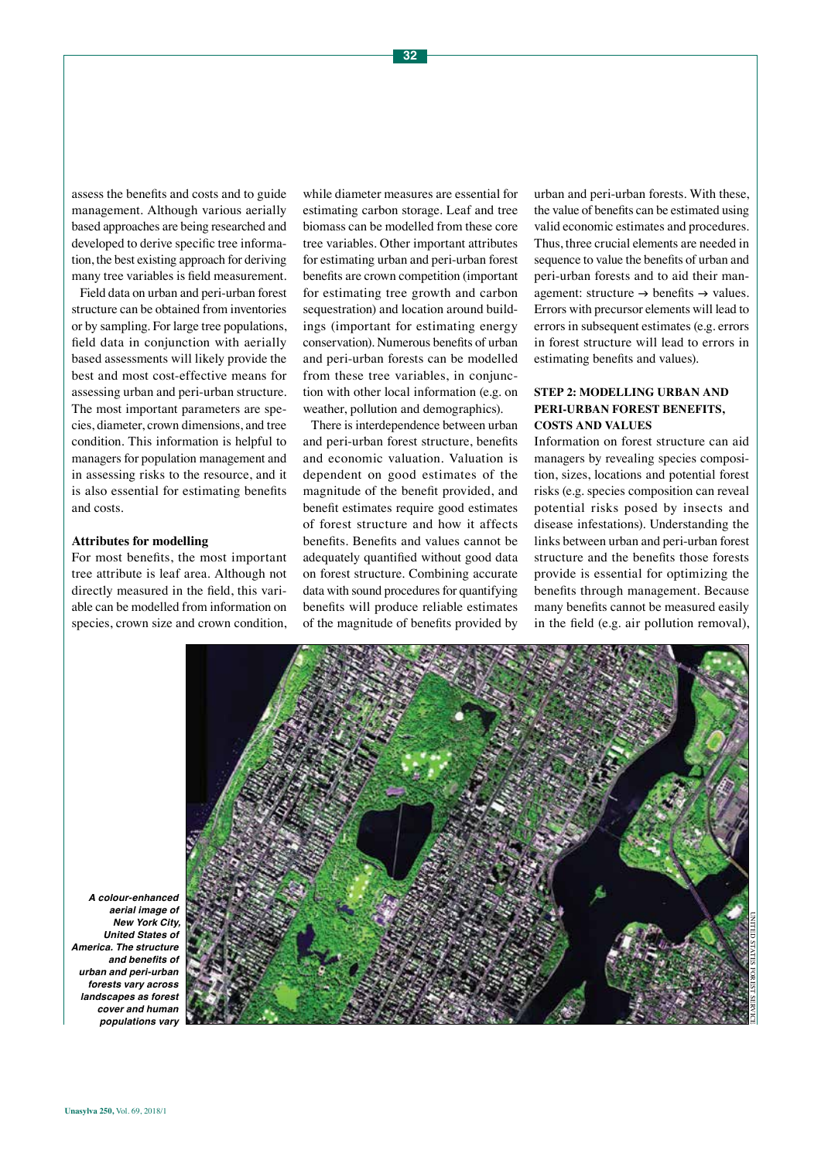assess the benefits and costs and to guide management. Although various aerially based approaches are being researched and developed to derive specific tree information, the best existing approach for deriving many tree variables is field measurement.

Field data on urban and peri-urban forest structure can be obtained from inventories or by sampling. For large tree populations, field data in conjunction with aerially based assessments will likely provide the best and most cost-effective means for assessing urban and peri-urban structure. The most important parameters are species, diameter, crown dimensions, and tree condition. This information is helpful to managers for population management and in assessing risks to the resource, and it is also essential for estimating benefits and costs.

#### **Attributes for modelling**

For most benefits, the most important tree attribute is leaf area. Although not directly measured in the field, this variable can be modelled from information on species, crown size and crown condition,

while diameter measures are essential for estimating carbon storage. Leaf and tree biomass can be modelled from these core tree variables. Other important attributes for estimating urban and peri-urban forest benefits are crown competition (important for estimating tree growth and carbon sequestration) and location around buildings (important for estimating energy conservation). Numerous benefits of urban and peri-urban forests can be modelled from these tree variables, in conjunction with other local information (e.g. on weather, pollution and demographics).

There is interdependence between urban and peri-urban forest structure, benefits and economic valuation. Valuation is dependent on good estimates of the magnitude of the benefit provided, and benefit estimates require good estimates of forest structure and how it affects benefits. Benefits and values cannot be adequately quantified without good data on forest structure. Combining accurate data with sound procedures for quantifying benefits will produce reliable estimates of the magnitude of benefits provided by

urban and peri-urban forests. With these, the value of benefits can be estimated using valid economic estimates and procedures. Thus, three crucial elements are needed in sequence to value the benefits of urban and peri-urban forests and to aid their management: structure  $\rightarrow$  benefits  $\rightarrow$  values. Errors with precursor elements will lead to errors in subsequent estimates (e.g. errors in forest structure will lead to errors in estimating benefits and values).

# **STEP 2: MODELLING URBAN AND PERI-URBAN FOREST BENEFITS, COSTS AND VALUES**

Information on forest structure can aid managers by revealing species composition, sizes, locations and potential forest risks (e.g. species composition can reveal potential risks posed by insects and disease infestations). Understanding the links between urban and peri-urban forest structure and the benefits those forests provide is essential for optimizing the benefits through management. Because many benefits cannot be measured easily in the field (e.g. air pollution removal),



*A colour-enhanced aerial image of New York City, United States of America. The structure*  **and benefits of**  *urban and peri-urban forests vary across landscapes as forest cover and human populations vary*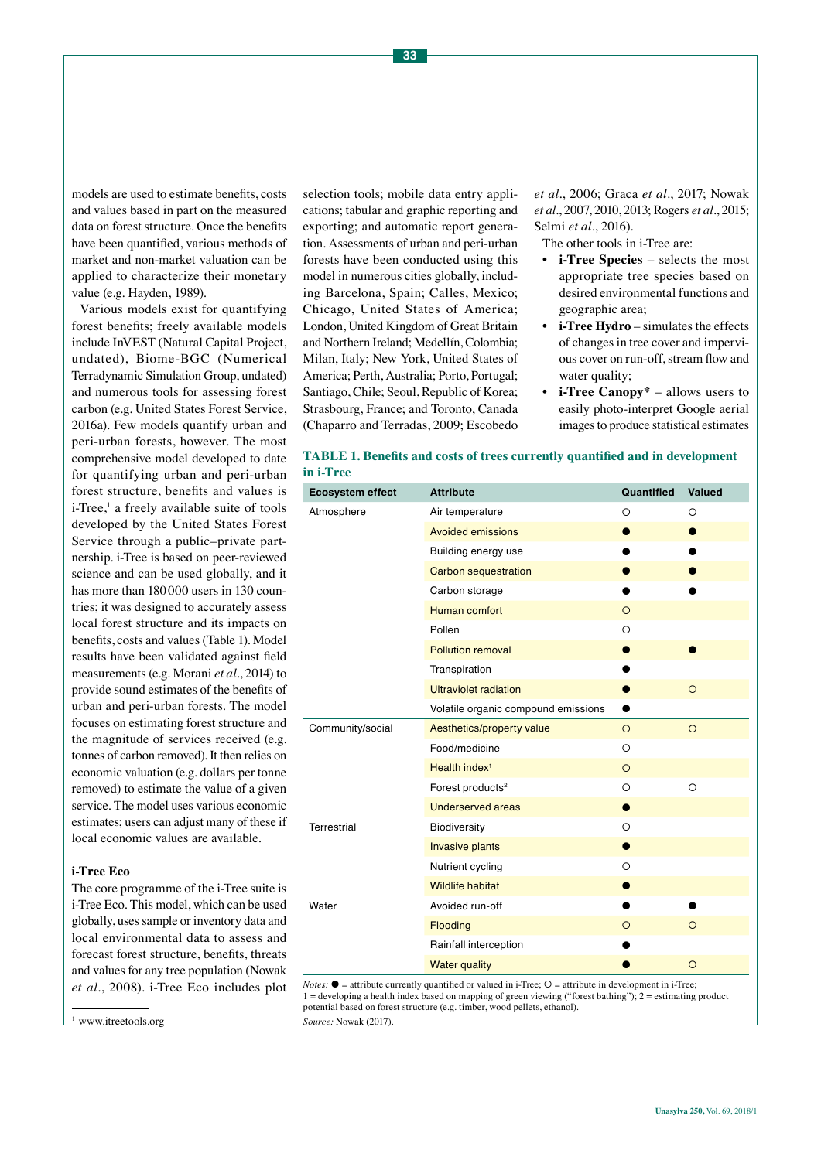models are used to estimate benefits, costs and values based in part on the measured data on forest structure. Once the benefits have been quantified, various methods of market and non-market valuation can be applied to characterize their monetary value (e.g. Hayden, 1989).

Various models exist for quantifying forest benefits; freely available models include InVEST (Natural Capital Project, undated), Biome-BGC (Numerical Terradynamic Simulation Group, undated) and numerous tools for assessing forest carbon (e.g. United States Forest Service, 2016a). Few models quantify urban and peri-urban forests, however. The most comprehensive model developed to date for quantifying urban and peri-urban forest structure, benefits and values is i-Tree,<sup>1</sup> a freely available suite of tools developed by the United States Forest Service through a public–private partnership. i-Tree is based on peer-reviewed science and can be used globally, and it has more than 180 000 users in 130 countries; it was designed to accurately assess local forest structure and its impacts on benefits, costs and values (Table 1). Model results have been validated against field measurements (e.g. Morani *et al*., 2014) to provide sound estimates of the benefits of urban and peri-urban forests. The model focuses on estimating forest structure and the magnitude of services received (e.g. tonnes of carbon removed). It then relies on economic valuation (e.g. dollars per tonne removed) to estimate the value of a given service. The model uses various economic estimates; users can adjust many of these if local economic values are available.

# **i-Tree Eco**

The core programme of the i-Tree suite is i-Tree Eco. This model, which can be used globally, uses sample or inventory data and local environmental data to assess and forecast forest structure, benefits, threats and values for any tree population (Nowak *et al*., 2008). i-Tree Eco includes plot

selection tools; mobile data entry applications; tabular and graphic reporting and exporting; and automatic report generation. Assessments of urban and peri-urban forests have been conducted using this model in numerous cities globally, including Barcelona, Spain; Calles, Mexico; Chicago, United States of America; London, United Kingdom of Great Britain and Northern Ireland; Medellín, Colombia; Milan, Italy; New York, United States of America; Perth, Australia; Porto, Portugal; Santiago, Chile; Seoul, Republic of Korea; Strasbourg, France; and Toronto, Canada (Chaparro and Terradas, 2009; Escobedo

*et al*., 2006; Graca *et al*., 2017; Nowak *et al*., 2007, 2010, 2013; Rogers *et al.*, 2015; Selmi *et al.*, 2016).

The other tools in i-Tree are:

- **• i-Tree Species** selects the most appropriate tree species based on desired environmental functions and geographic area;
- **• i-Tree Hydro** simulates the effects of changes in tree cover and impervious cover on run-off, stream flow and water quality;
- **• i-Tree Canopy\*** allows users to easily photo-interpret Google aerial images to produce statistical estimates

| <b>TABLE 1. Benefits and costs of trees currently quantified and in development</b> |  |
|-------------------------------------------------------------------------------------|--|
| in i-Tree                                                                           |  |

| <b>Ecosystem effect</b> | <b>Attribute</b>                    | Quantified | <b>Valued</b> |
|-------------------------|-------------------------------------|------------|---------------|
| Atmosphere              | Air temperature                     | $\circ$    | $\circ$       |
|                         | <b>Avoided emissions</b>            |            | $\bullet$     |
|                         | Building energy use                 |            |               |
|                         | <b>Carbon sequestration</b>         |            | э             |
|                         | Carbon storage                      |            |               |
|                         | Human comfort                       | $\circ$    |               |
|                         | Pollen                              | $\circ$    |               |
|                         | <b>Pollution removal</b>            | $\bullet$  |               |
|                         | Transpiration                       |            |               |
|                         | <b>Ultraviolet radiation</b>        | $\bullet$  | $\circ$       |
|                         | Volatile organic compound emissions | $\bullet$  |               |
| Community/social        | Aesthetics/property value           | $\circ$    | $\circ$       |
|                         | Food/medicine                       | $\circ$    |               |
|                         | Health index <sup>1</sup>           | $\circ$    |               |
|                         | Forest products <sup>2</sup>        | $\circ$    | $\circ$       |
|                         | <b>Underserved areas</b>            | $\bullet$  |               |
| Terrestrial             | Biodiversity                        | $\circ$    |               |
|                         | <b>Invasive plants</b>              |            |               |
|                         | Nutrient cycling                    | $\circ$    |               |
|                         | <b>Wildlife habitat</b>             |            |               |
| Water                   | Avoided run-off                     |            |               |
|                         | Flooding                            | $\circ$    | $\circ$       |
|                         | Rainfall interception               |            |               |
|                         | <b>Water quality</b>                |            | $\circ$       |

*Notes:*  $\bullet$  = attribute currently quantified or valued in i-Tree;  $O$  = attribute in development in i-Tree;  $1 =$  developing a health index based on mapping of green viewing ("forest bathing");  $2 =$  estimating product potential based on forest structure (e.g. timber, wood pellets, ethanol).

*Source:* Nowak (2017).

<sup>&</sup>lt;sup>1</sup> www.itreetools.org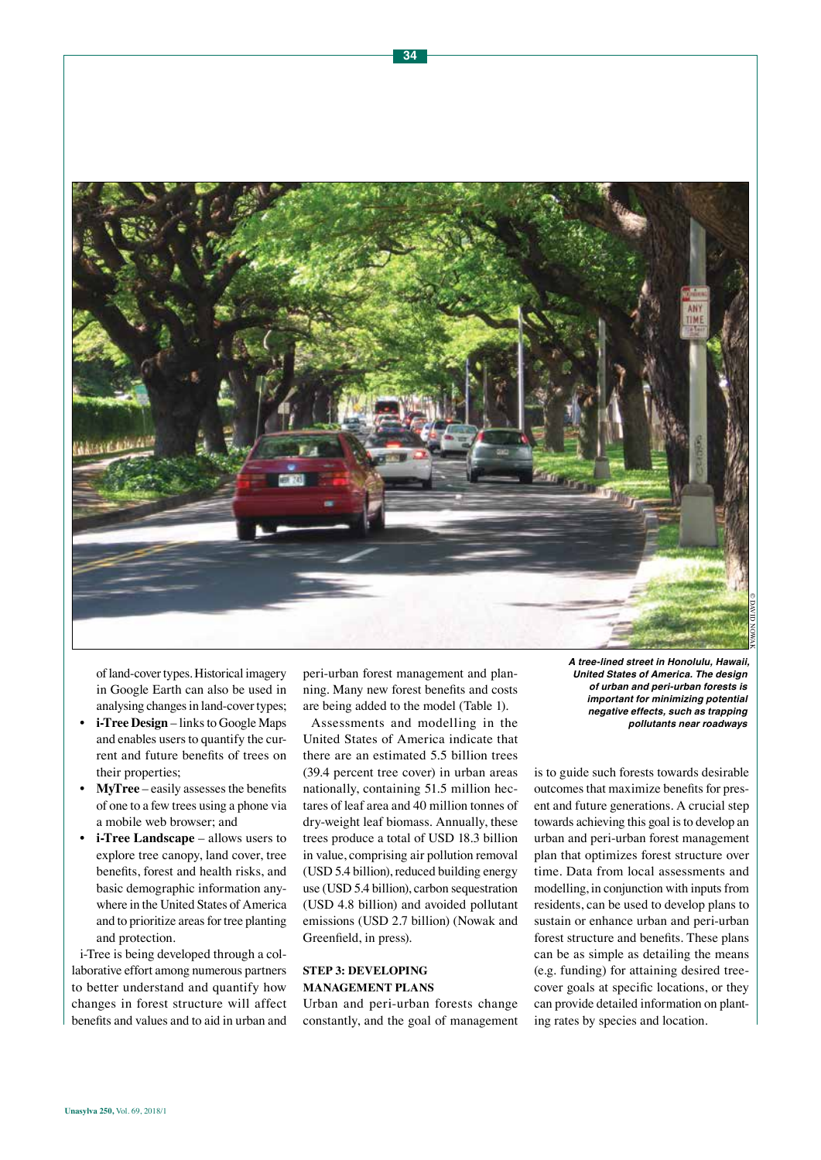

of land-cover types. Historical imagery in Google Earth can also be used in analysing changes in land-cover types;

- **• i-Tree Design** links to Google Maps and enables users to quantify the current and future benefits of trees on their properties;
- **• MyTree** easily assesses the benefits of one to a few trees using a phone via a mobile web browser; and
- **• i-Tree Landscape** allows users to explore tree canopy, land cover, tree benefits, forest and health risks, and basic demographic information anywhere in the United States of America and to prioritize areas for tree planting and protection.

i-Tree is being developed through a collaborative effort among numerous partners to better understand and quantify how changes in forest structure will affect benefits and values and to aid in urban and peri-urban forest management and planning. Many new forest benefits and costs are being added to the model (Table 1).

Assessments and modelling in the United States of America indicate that there are an estimated 5.5 billion trees (39.4 percent tree cover) in urban areas nationally, containing 51.5 million hectares of leaf area and 40 million tonnes of dry-weight leaf biomass. Annually, these trees produce a total of USD 18.3 billion in value, comprising air pollution removal (USD 5.4 billion), reduced building energy use (USD 5.4 billion), carbon sequestration (USD 4.8 billion) and avoided pollutant emissions (USD 2.7 billion) (Nowak and Greenfield, in press).

# **STEP 3: DEVELOPING MANAGEMENT PLANS**

Urban and peri-urban forests change constantly, and the goal of management *A tree-lined street in Honolulu, Hawaii, United States of America. The design of urban and peri-urban forests is important for minimizing potential negative effects, such as trapping pollutants near roadways* 

is to guide such forests towards desirable outcomes that maximize benefits for present and future generations. A crucial step towards achieving this goal is to develop an urban and peri-urban forest management plan that optimizes forest structure over time. Data from local assessments and modelling, in conjunction with inputs from residents, can be used to develop plans to sustain or enhance urban and peri-urban forest structure and benefits. These plans can be as simple as detailing the means (e.g. funding) for attaining desired treecover goals at specific locations, or they can provide detailed information on planting rates by species and location.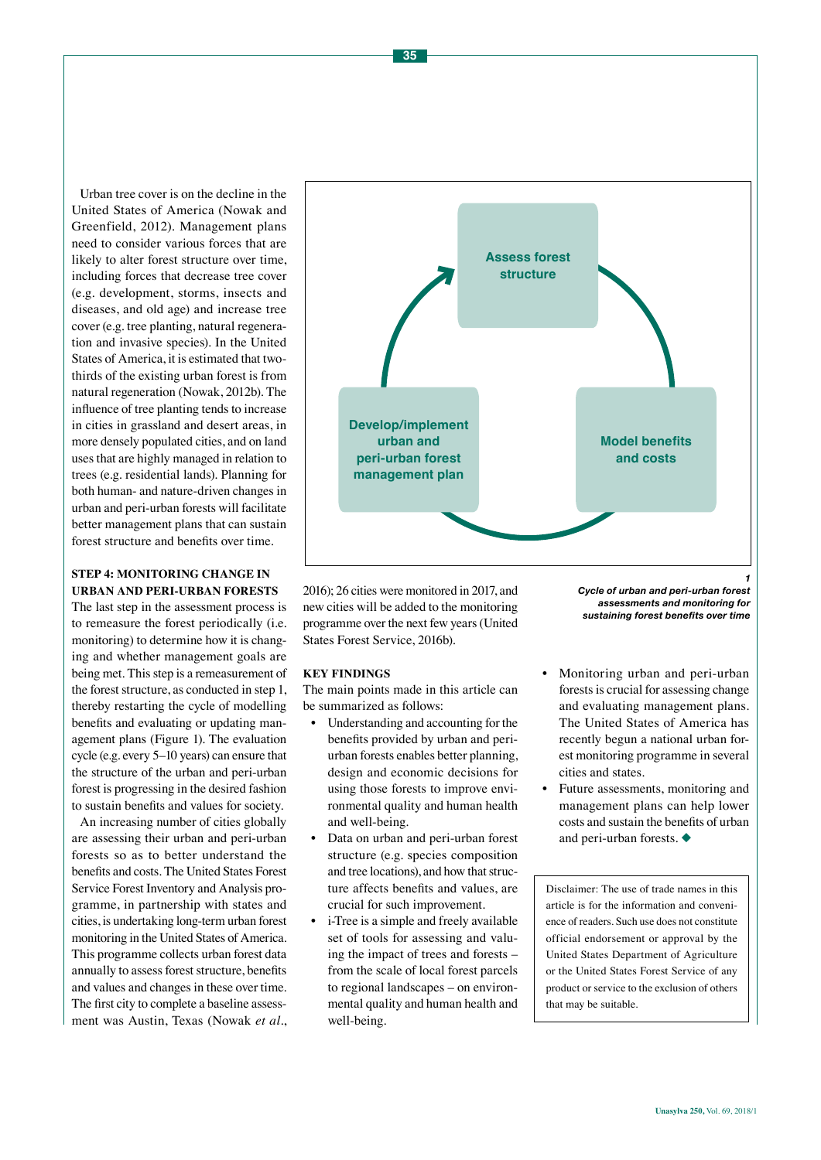Urban tree cover is on the decline in the United States of America (Nowak and Greenfield, 2012). Management plans need to consider various forces that are likely to alter forest structure over time, including forces that decrease tree cover (e.g. development, storms, insects and diseases, and old age) and increase tree cover (e.g. tree planting, natural regeneration and invasive species). In the United States of America, it is estimated that twothirds of the existing urban forest is from natural regeneration (Nowak, 2012b). The influence of tree planting tends to increase in cities in grassland and desert areas, in more densely populated cities, and on land uses that are highly managed in relation to trees (e.g. residential lands). Planning for both human- and nature-driven changes in urban and peri-urban forests will facilitate better management plans that can sustain forest structure and benefits over time.

# **STEP 4: MONITORING CHANGE IN URBAN AND PERI-URBAN FORESTS**

The last step in the assessment process is to remeasure the forest periodically (i.e. monitoring) to determine how it is changing and whether management goals are being met. This step is a remeasurement of the forest structure, as conducted in step 1, thereby restarting the cycle of modelling benefits and evaluating or updating management plans (Figure 1). The evaluation cycle (e.g. every 5–10 years) can ensure that the structure of the urban and peri-urban forest is progressing in the desired fashion to sustain benefits and values for society.

An increasing number of cities globally are assessing their urban and peri-urban forests so as to better understand the benefits and costs. The United States Forest Service Forest Inventory and Analysis programme, in partnership with states and cities, is undertaking long-term urban forest monitoring in the United States of America. This programme collects urban forest data annually to assess forest structure, benefits and values and changes in these over time. The first city to complete a baseline assessment was Austin, Texas (Nowak *et al*.,



2016); 26 cities were monitored in 2017, and new cities will be added to the monitoring programme over the next few years (United States Forest Service, 2016b).

### **KEY FINDINGS**

The main points made in this article can be summarized as follows:

- Understanding and accounting for the benefits provided by urban and periurban forests enables better planning, design and economic decisions for using those forests to improve environmental quality and human health and well-being.
- Data on urban and peri-urban forest structure (e.g. species composition and tree locations), and how that structure affects benefits and values, are crucial for such improvement.
- i-Tree is a simple and freely available set of tools for assessing and valuing the impact of trees and forests – from the scale of local forest parcels to regional landscapes – on environmental quality and human health and well-being.

*Cycle of urban and peri-urban forest assessments and monitoring for sustaining forest benefits over time*

- Monitoring urban and peri-urban forests is crucial for assessing change and evaluating management plans. The United States of America has recently begun a national urban forest monitoring programme in several cities and states.
- Future assessments, monitoring and management plans can help lower costs and sustain the benefits of urban and peri-urban forests.  $\blacklozenge$

Disclaimer: The use of trade names in this article is for the information and convenience of readers. Such use does not constitute official endorsement or approval by the United States Department of Agriculture or the United States Forest Service of any product or service to the exclusion of others that may be suitable.